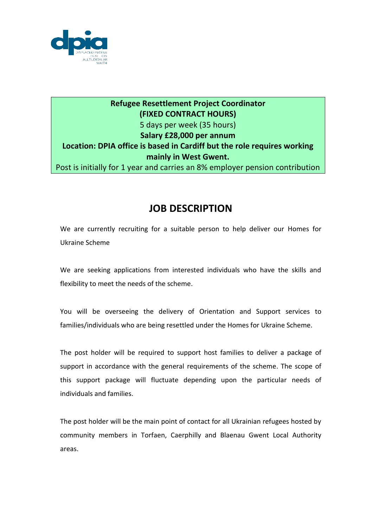

## **Refugee Resettlement Project Coordinator (FIXED CONTRACT HOURS)** 5 days per week (35 hours) **Salary £28,000 per annum Location: DPIA office is based in Cardiff but the role requires working mainly in West Gwent.**  Post is initially for 1 year and carries an 8% employer pension contribution

## **JOB DESCRIPTION**

We are currently recruiting for a suitable person to help deliver our Homes for Ukraine Scheme

We are seeking applications from interested individuals who have the skills and flexibility to meet the needs of the scheme.

You will be overseeing the delivery of Orientation and Support services to families/individuals who are being resettled under the Homes for Ukraine Scheme.

The post holder will be required to support host families to deliver a package of support in accordance with the general requirements of the scheme. The scope of this support package will fluctuate depending upon the particular needs of individuals and families.

The post holder will be the main point of contact for all Ukrainian refugees hosted by community members in Torfaen, Caerphilly and Blaenau Gwent Local Authority areas.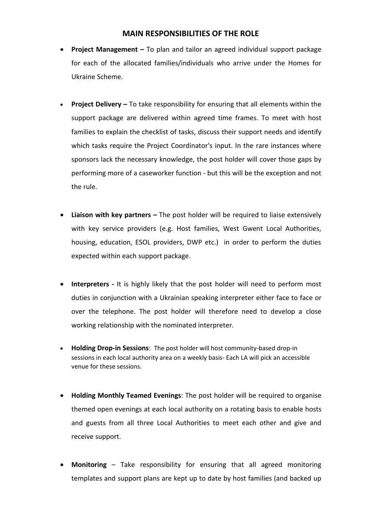## **MAIN RESPONSIBILITIES OF THE ROLE**

- **Project Management –** To plan and tailor an agreed individual support package for each of the allocated families/individuals who arrive under the Homes for Ukraine Scheme.
- **Project Delivery –** To take responsibility for ensuring that all elements within the support package are delivered within agreed time frames. To meet with host families to explain the checklist of tasks, discuss their support needs and identify which tasks require the Project Coordinator's input. In the rare instances where sponsors lack the necessary knowledge, the post holder will cover those gaps by performing more of a caseworker function - but this will be the exception and not the rule.
- **Liaison with key partners –** The post holder will be required to liaise extensively with key service providers (e.g. Host families, West Gwent Local Authorities, housing, education, ESOL providers, DWP etc.) in order to perform the duties expected within each support package.
- **Interpreters -** It is highly likely that the post holder will need to perform most duties in conjunction with a Ukrainian speaking interpreter either face to face or over the telephone. The post holder will therefore need to develop a close working relationship with the nominated interpreter.
- **Holding Drop-in Sessions**: The post holder will host community-based drop-in sessions in each local authority area on a weekly basis- Each LA will pick an accessible venue for these sessions.
- **Holding Monthly Teamed Evenings**: The post holder will be required to organise themed open evenings at each local authority on a rotating basis to enable hosts and guests from all three Local Authorities to meet each other and give and receive support.
- **Monitoring** Take responsibility for ensuring that all agreed monitoring templates and support plans are kept up to date by host families (and backed up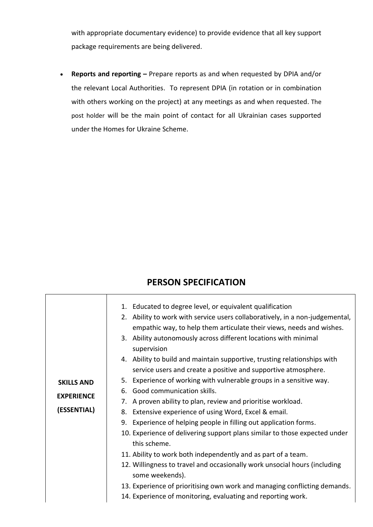with appropriate documentary evidence) to provide evidence that all key support package requirements are being delivered.

 **Reports and reporting –** Prepare reports as and when requested by DPIA and/or the relevant Local Authorities. To represent DPIA (in rotation or in combination with others working on the project) at any meetings as and when requested. The post holder will be the main point of contact for all Ukrainian cases supported under the Homes for Ukraine Scheme.

## **PERSON SPECIFICATION**

| 1. Educated to degree level, or equivalent qualification<br>2. Ability to work with service users collaboratively, in a non-judgemental,<br>empathic way, to help them articulate their views, needs and wishes.<br>3. Ability autonomously across different locations with minimal<br>supervision<br>4. Ability to build and maintain supportive, trusting relationships with<br>service users and create a positive and supportive atmosphere.<br>5. Experience of working with vulnerable groups in a sensitive way.<br>6. Good communication skills.<br>A proven ability to plan, review and prioritise workload.<br>7.<br>8. Extensive experience of using Word, Excel & email.<br>9. Experience of helping people in filling out application forms.<br>10. Experience of delivering support plans similar to those expected under<br>this scheme.<br>11. Ability to work both independently and as part of a team.<br>12. Willingness to travel and occasionally work unsocial hours (including<br>some weekends).<br>13. Experience of prioritising own work and managing conflicting demands. |
|-------------------------------------------------------------------------------------------------------------------------------------------------------------------------------------------------------------------------------------------------------------------------------------------------------------------------------------------------------------------------------------------------------------------------------------------------------------------------------------------------------------------------------------------------------------------------------------------------------------------------------------------------------------------------------------------------------------------------------------------------------------------------------------------------------------------------------------------------------------------------------------------------------------------------------------------------------------------------------------------------------------------------------------------------------------------------------------------------------|
| 14. Experience of monitoring, evaluating and reporting work.                                                                                                                                                                                                                                                                                                                                                                                                                                                                                                                                                                                                                                                                                                                                                                                                                                                                                                                                                                                                                                          |
|                                                                                                                                                                                                                                                                                                                                                                                                                                                                                                                                                                                                                                                                                                                                                                                                                                                                                                                                                                                                                                                                                                       |